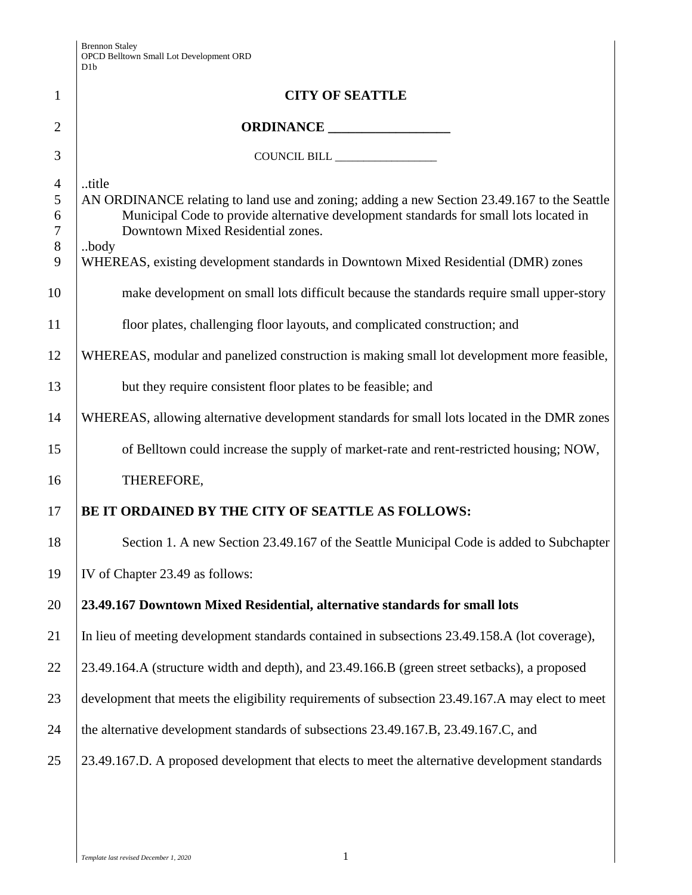|                                                            | D <sub>1</sub> b                                                                                                                                                                                                                                                                                                                |  |  |
|------------------------------------------------------------|---------------------------------------------------------------------------------------------------------------------------------------------------------------------------------------------------------------------------------------------------------------------------------------------------------------------------------|--|--|
| $\mathbf{1}$                                               | <b>CITY OF SEATTLE</b>                                                                                                                                                                                                                                                                                                          |  |  |
| $\overline{2}$                                             |                                                                                                                                                                                                                                                                                                                                 |  |  |
| 3                                                          | COUNCIL BILL                                                                                                                                                                                                                                                                                                                    |  |  |
| $\overline{4}$<br>5<br>6<br>$\boldsymbol{7}$<br>$8\,$<br>9 | title<br>AN ORDINANCE relating to land use and zoning; adding a new Section 23.49.167 to the Seattle<br>Municipal Code to provide alternative development standards for small lots located in<br>Downtown Mixed Residential zones.<br>body<br>WHEREAS, existing development standards in Downtown Mixed Residential (DMR) zones |  |  |
| 10                                                         | make development on small lots difficult because the standards require small upper-story                                                                                                                                                                                                                                        |  |  |
| 11                                                         | floor plates, challenging floor layouts, and complicated construction; and                                                                                                                                                                                                                                                      |  |  |
| 12                                                         | WHEREAS, modular and panelized construction is making small lot development more feasible,                                                                                                                                                                                                                                      |  |  |
| 13                                                         | but they require consistent floor plates to be feasible; and                                                                                                                                                                                                                                                                    |  |  |
| 14                                                         | WHEREAS, allowing alternative development standards for small lots located in the DMR zones                                                                                                                                                                                                                                     |  |  |
| 15                                                         | of Belltown could increase the supply of market-rate and rent-restricted housing; NOW,                                                                                                                                                                                                                                          |  |  |
| 16                                                         | THEREFORE,                                                                                                                                                                                                                                                                                                                      |  |  |
| 17                                                         | BE IT ORDAINED BY THE CITY OF SEATTLE AS FOLLOWS:                                                                                                                                                                                                                                                                               |  |  |
| 18                                                         | Section 1. A new Section 23.49.167 of the Seattle Municipal Code is added to Subchapter                                                                                                                                                                                                                                         |  |  |
| 19                                                         | IV of Chapter 23.49 as follows:                                                                                                                                                                                                                                                                                                 |  |  |
| 20                                                         | 23.49.167 Downtown Mixed Residential, alternative standards for small lots                                                                                                                                                                                                                                                      |  |  |
| 21                                                         | In lieu of meeting development standards contained in subsections 23.49.158.A (lot coverage),                                                                                                                                                                                                                                   |  |  |
| 22                                                         | 23.49.164.A (structure width and depth), and 23.49.166.B (green street setbacks), a proposed                                                                                                                                                                                                                                    |  |  |
| 23                                                         | development that meets the eligibility requirements of subsection 23.49.167.A may elect to meet                                                                                                                                                                                                                                 |  |  |
| 24                                                         | the alternative development standards of subsections 23.49.167.B, 23.49.167.C, and                                                                                                                                                                                                                                              |  |  |
| 25                                                         | 23.49.167.D. A proposed development that elects to meet the alternative development standards                                                                                                                                                                                                                                   |  |  |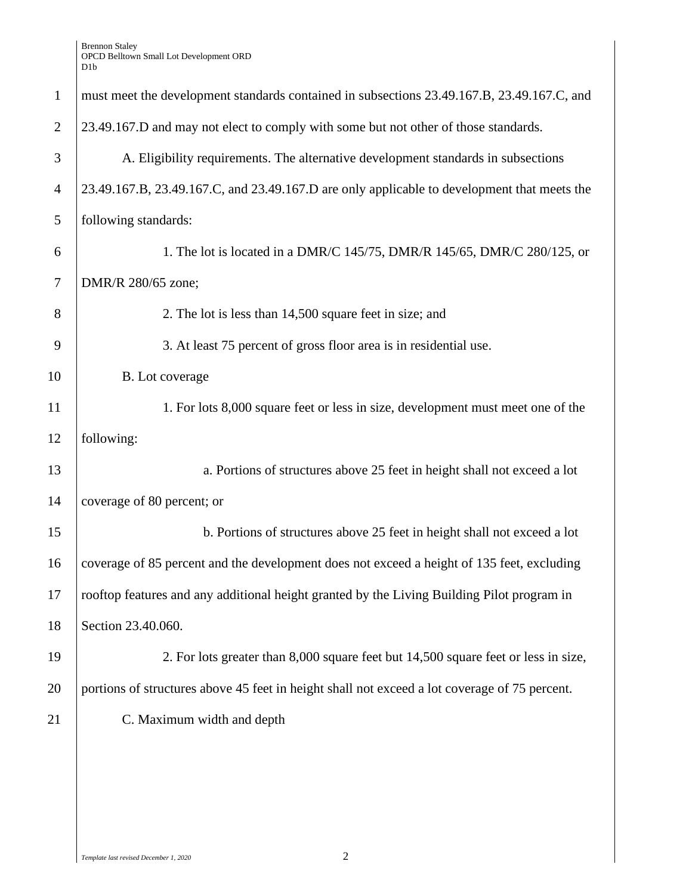Brennon Staley OPCD Belltown Small Lot Development ORD D1b

| $\mathbf{1}$   | must meet the development standards contained in subsections 23.49.167.B, 23.49.167.C, and    |  |  |
|----------------|-----------------------------------------------------------------------------------------------|--|--|
| $\overline{2}$ | 23.49.167.D and may not elect to comply with some but not other of those standards.           |  |  |
| 3              | A. Eligibility requirements. The alternative development standards in subsections             |  |  |
| $\overline{4}$ | 23.49.167.B, 23.49.167.C, and 23.49.167.D are only applicable to development that meets the   |  |  |
| 5              | following standards:                                                                          |  |  |
| 6              | 1. The lot is located in a DMR/C 145/75, DMR/R 145/65, DMR/C 280/125, or                      |  |  |
| $\tau$         | DMR/R 280/65 zone;                                                                            |  |  |
| 8              | 2. The lot is less than 14,500 square feet in size; and                                       |  |  |
| 9              | 3. At least 75 percent of gross floor area is in residential use.                             |  |  |
| 10             | B. Lot coverage                                                                               |  |  |
| 11             | 1. For lots 8,000 square feet or less in size, development must meet one of the               |  |  |
| 12             | following:                                                                                    |  |  |
| 13             | a. Portions of structures above 25 feet in height shall not exceed a lot                      |  |  |
| 14             | coverage of 80 percent; or                                                                    |  |  |
| 15             | b. Portions of structures above 25 feet in height shall not exceed a lot                      |  |  |
| 16             | coverage of 85 percent and the development does not exceed a height of 135 feet, excluding    |  |  |
| 17             | rooftop features and any additional height granted by the Living Building Pilot program in    |  |  |
| 18             | Section 23.40.060.                                                                            |  |  |
| 19             | 2. For lots greater than 8,000 square feet but 14,500 square feet or less in size,            |  |  |
| 20             | portions of structures above 45 feet in height shall not exceed a lot coverage of 75 percent. |  |  |
| 21             | C. Maximum width and depth                                                                    |  |  |
|                |                                                                                               |  |  |
|                |                                                                                               |  |  |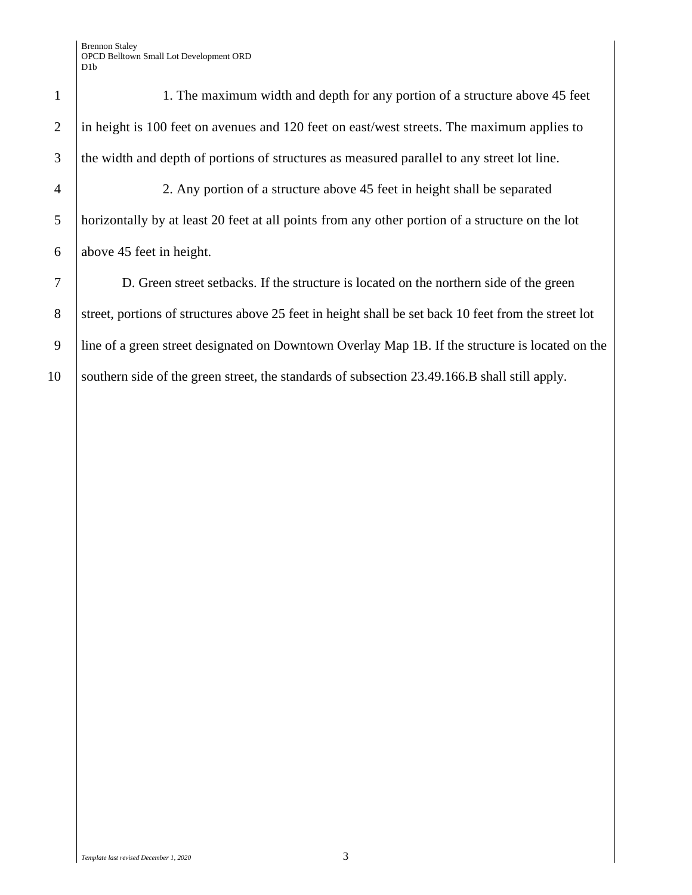1 1. The maximum width and depth for any portion of a structure above 45 feet 2 in height is 100 feet on avenues and 120 feet on east/west streets. The maximum applies to 3 the width and depth of portions of structures as measured parallel to any street lot line. 4 2. Any portion of a structure above 45 feet in height shall be separated 5 horizontally by at least 20 feet at all points from any other portion of a structure on the lot 6 above 45 feet in height. 7 D. Green street setbacks. If the structure is located on the northern side of the green 8 Street, portions of structures above 25 feet in height shall be set back 10 feet from the street lot

10 southern side of the green street, the standards of subsection 23.49.166.B shall still apply.

9 line of a green street designated on Downtown Overlay Map 1B. If the structure is located on the